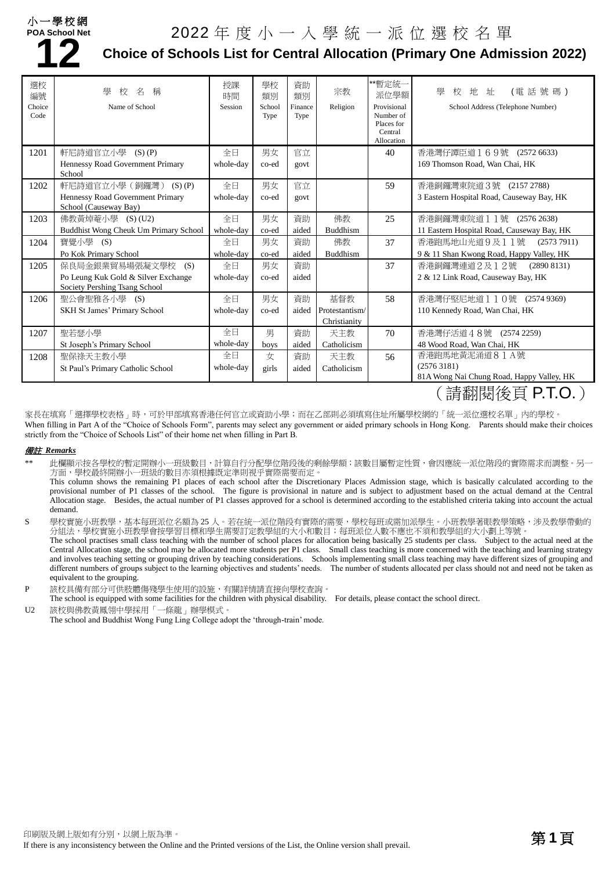#### 小一學校網 **POA School Net**

# **12**

# 2022 年度小一入學統一派位選校名單

## **Choice of Schools List for Central Allocation (Primary One Admission 2022)**

| 選校<br>編號<br>Choice<br>Code | 學<br>校<br>名<br>稱<br>Name of School                                   | 授課<br>時間<br>Session | 學校<br>類別<br>School<br>Type | 資助<br>類別<br>Finance<br>Type | 宗教<br>Religion  | **暫定統一<br>派位學額<br>Provisional<br>Number of<br>Places for<br>Central<br>Allocation | (電話號碼)<br>學<br>校<br>地址<br>School Address (Telephone Number)                                                                                                                                                                                                                     |
|----------------------------|----------------------------------------------------------------------|---------------------|----------------------------|-----------------------------|-----------------|-----------------------------------------------------------------------------------|---------------------------------------------------------------------------------------------------------------------------------------------------------------------------------------------------------------------------------------------------------------------------------|
| 1201                       | 軒尼詩道官立小學<br>$(S)$ $(P)$                                              | 全日                  | 男女                         | 官立                          |                 | 40                                                                                | 香港灣仔譚臣道169號 (2572 6633)                                                                                                                                                                                                                                                         |
|                            | Hennessy Road Government Primary<br>School                           | whole-day           | co-ed                      | govt                        |                 |                                                                                   | 169 Thomson Road, Wan Chai, HK                                                                                                                                                                                                                                                  |
| 1202                       | 軒尼詩道官立小學 (銅鑼灣) (S)(P)                                                | 全日                  | 男女                         | 官立                          |                 | 59                                                                                | 香港銅鑼灣東院道3號 (2157 2788)                                                                                                                                                                                                                                                          |
|                            | Hennessy Road Government Primary<br>School (Causeway Bay)            | whole-day           | co-ed                      | govt                        |                 |                                                                                   | 3 Eastern Hospital Road, Causeway Bay, HK                                                                                                                                                                                                                                       |
| 1203                       | 佛教黃焯菴小學 (S) (U2)                                                     | 全日                  | 男女                         | 資助                          | 佛教              | 25                                                                                | 香港銅鑼灣東院道 1 1號 (2576 2638)                                                                                                                                                                                                                                                       |
|                            | Buddhist Wong Cheuk Um Primary School                                | whole-day           | co-ed                      | aided                       | <b>Buddhism</b> |                                                                                   | 11 Eastern Hospital Road, Causeway Bay, HK                                                                                                                                                                                                                                      |
| 1204                       | 寶覺小學 (S)                                                             | 全日                  | 男女                         | 資助                          | 佛教              | 37                                                                                | 香港跑馬地山光道9及11號<br>(25737911)                                                                                                                                                                                                                                                     |
|                            | Po Kok Primary School                                                | whole-day           | co-ed                      | aided                       | <b>Buddhism</b> |                                                                                   | 9 & 11 Shan Kwong Road, Happy Valley, HK                                                                                                                                                                                                                                        |
| 1205                       | 保良局金銀業貿易場張凝文學校<br>(S)                                                | 全日                  | 男女                         | 資助                          |                 | 37                                                                                | 香港銅鑼灣連道2及12號<br>(28908131)                                                                                                                                                                                                                                                      |
|                            | Po Leung Kuk Gold & Silver Exchange<br>Society Pershing Tsang School | whole-day           | co-ed                      | aided                       |                 |                                                                                   | 2 & 12 Link Road, Causeway Bay, HK                                                                                                                                                                                                                                              |
| 1206                       | 聖公會聖雅各小學 (S)                                                         | 全日                  | 男女                         | 資助                          | 基督教             | 58                                                                                | 香港灣仔堅尼地道110號 (2574 9369)                                                                                                                                                                                                                                                        |
|                            | <b>SKH St James' Primary School</b>                                  | whole-day           | co-ed                      | aided                       | Protestantism/  |                                                                                   | 110 Kennedy Road, Wan Chai, HK                                                                                                                                                                                                                                                  |
|                            |                                                                      |                     |                            |                             | Christianity    |                                                                                   |                                                                                                                                                                                                                                                                                 |
| 1207                       | 聖若瑟小學                                                                | 全日                  | 男                          | 資助                          | 天主教             | 70                                                                                | 香港灣仔活道48號 (2574 2259)                                                                                                                                                                                                                                                           |
|                            | St Joseph's Primary School                                           | whole-day           | boys                       | aided                       | Catholicism     |                                                                                   | 48 Wood Road, Wan Chai, HK                                                                                                                                                                                                                                                      |
| 1208                       | 聖保祿天主教小學                                                             | 全日                  | 女                          | 資助                          | 天主教             | 56                                                                                | 香港跑馬地黃泥涌道81A號                                                                                                                                                                                                                                                                   |
|                            | St Paul's Primary Catholic School                                    | whole-day           | girls                      | aided                       | Catholicism     |                                                                                   | (25763181)                                                                                                                                                                                                                                                                      |
|                            |                                                                      |                     |                            |                             |                 |                                                                                   | 81A Wong Nai Chung Road, Happy Valley, HK<br>$\lambda$ . The contract of the property of the contract of the contract of the contract of the contract of the contract of the contract of the contract of the contract of the contract of the contract of the contract of the co |

(請翻閱後頁 P.T.O.)

家長在填寫「選擇學校表格」時,可於甲部填寫香港任何官立或資助小學;而在乙部則必須填寫住址所屬學校網的「統一派位選校名單」內的學校。 When filling in Part A of the "Choice of Schools Form", parents may select any government or aided primary schools in Hong Kong. Parents should make their choices strictly from the "Choice of Schools List" of their home net when filling in Part B.

#### 備註 *Remarks*

- 此欄顯示按各學校的暫定開辦小一班級數目,計算自行分配學位階段後的剩餘學額;該數目屬暫定性質,會因應統一派位階段的實際需求而調整。另一 方面,學校最終開辦小一班級的數目亦須根據既定準則視乎實際需要而定。
	- This column shows the remaining P1 places of each school after the Discretionary Places Admission stage, which is basically calculated according to the provisional number of P1 classes of the school. The figure is provisional in nature and is subject to adjustment based on the actual demand at the Central Allocation stage. Besides, the actual number of P1 classes approved for a school is determined according to the established criteria taking into account the actual demand.
- S 學校實施小班教學,基本每班派位名額為 25 人。若在統一派位階段有實際的需要,學校每班或需加派學生。小班教學著眼教學策略,涉及教學帶動的 分組法,學校實施小班教學會按學習目標和學生需要訂定教學組的大小和數目;每班派位人數不應也不須和教學組的大小劃上等號。

The school practises small class teaching with the number of school places for allocation being basically 25 students per class. Subject to the actual need at the Central Allocation stage, the school may be allocated more students per P1 class. Small class teaching is more concerned with the teaching and learning strategy and involves teaching setting or grouping driven by teaching considerations. Schools implementing small class teaching may have different sizes of grouping and different numbers of groups subject to the learning objectives and students' needs. The number of students allocated per class should not and need not be taken as equivalent to the grouping.

P 該校具備有部分可供肢體傷殘學生使用的設施,有關詳情請直接向學校查詢。

The school is equipped with some facilities for the children with physical disability. For details, please contact the school direct. U2 該校與佛教黃鳳翎中學採用「一條龍」辦學模式。

The school and Buddhist Wong Fung Ling College adopt the 'through-train' mode.